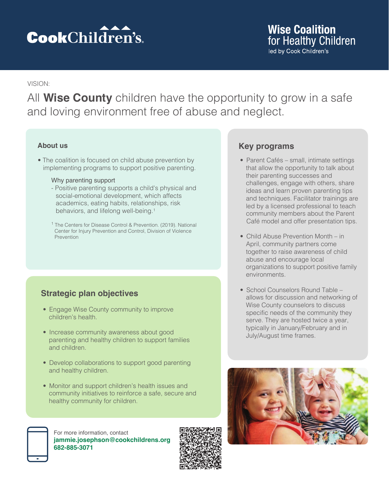# **Cook**Children's.

# **Wise Coalition** for Healthy Children led by Cook Children's

### VISION:

All **Wise County** children have the opportunity to grow in a safe and loving environment free of abuse and neglect.

### **About us**

• The coalition is focused on child abuse prevention by implementing programs to support positive parenting.

#### Why parenting support

- Positive parenting supports a child's physical and social-emotional development, which affects academics, eating habits, relationships, risk behaviors, and lifelong well-being.1
- 1 The Centers for Disease Control & Prevention. (2019). National Center for Injury Prevention and Control, Division of Violence **Prevention**

# **Strategic plan objectives**

- Engage Wise County community to improve children's health.
- Increase community awareness about good parenting and healthy children to support families and children.
- Develop collaborations to support good parenting and healthy children.
- Monitor and support children's health issues and community initiatives to reinforce a safe, secure and healthy community for children.





# **Key programs**

- Parent Cafés small, intimate settings that allow the opportunity to talk about their parenting successes and challenges, engage with others, share ideas and learn proven parenting tips and techniques. Facilitator trainings are led by a licensed professional to teach community members about the Parent Café model and offer presentation tips.
- Child Abuse Prevention Month in April, community partners come together to raise awareness of child abuse and encourage local organizations to support positive family environments.
- School Counselors Round Table allows for discussion and networking of Wise County counselors to discuss specific needs of the community they serve. They are hosted twice a year, typically in January/February and in July/August time frames.